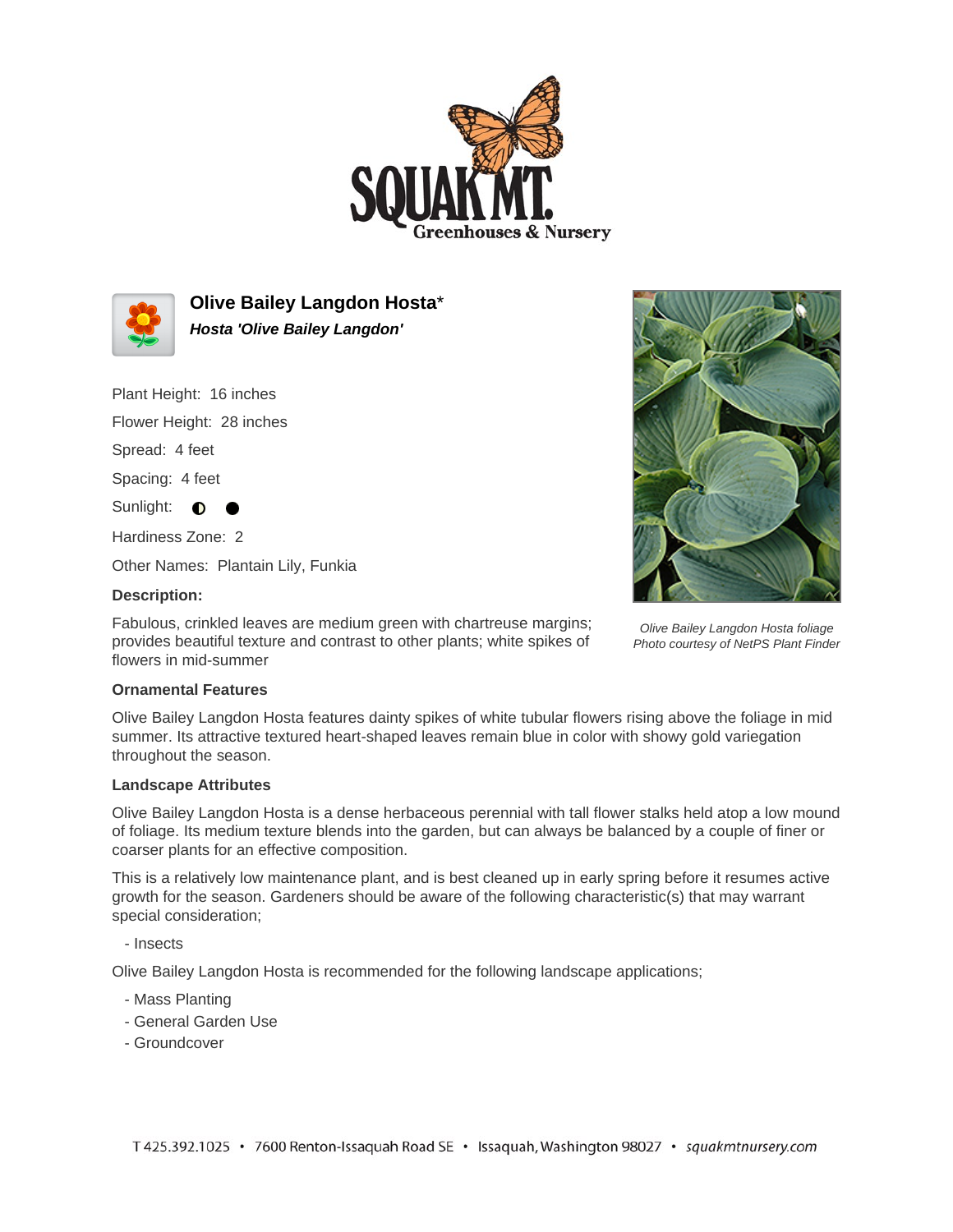



**Olive Bailey Langdon Hosta**\* **Hosta 'Olive Bailey Langdon'**

Plant Height: 16 inches

Flower Height: 28 inches

Spread: 4 feet

Spacing: 4 feet

Sunlight:  $\bullet$ 

Hardiness Zone: 2

Other Names: Plantain Lily, Funkia

## **Description:**

Fabulous, crinkled leaves are medium green with chartreuse margins; provides beautiful texture and contrast to other plants; white spikes of flowers in mid-summer



Olive Bailey Langdon Hosta foliage Photo courtesy of NetPS Plant Finder

## **Ornamental Features**

Olive Bailey Langdon Hosta features dainty spikes of white tubular flowers rising above the foliage in mid summer. Its attractive textured heart-shaped leaves remain blue in color with showy gold variegation throughout the season.

## **Landscape Attributes**

Olive Bailey Langdon Hosta is a dense herbaceous perennial with tall flower stalks held atop a low mound of foliage. Its medium texture blends into the garden, but can always be balanced by a couple of finer or coarser plants for an effective composition.

This is a relatively low maintenance plant, and is best cleaned up in early spring before it resumes active growth for the season. Gardeners should be aware of the following characteristic(s) that may warrant special consideration;

- Insects

Olive Bailey Langdon Hosta is recommended for the following landscape applications;

- Mass Planting
- General Garden Use
- Groundcover